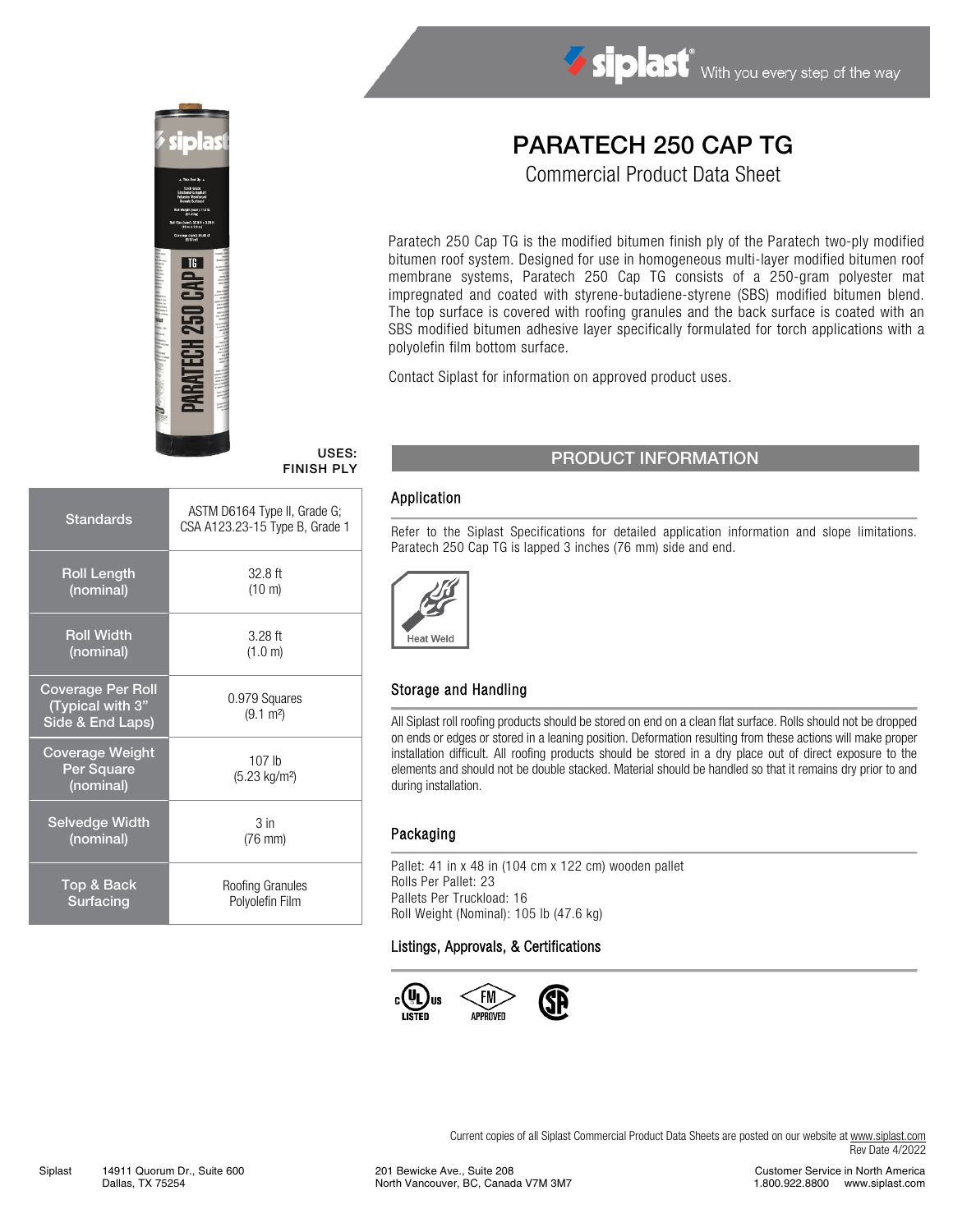

# Siplast With you every step of the way

# PARATECH 250 CAP TG

Commercial Product Data Sheet

Paratech 250 Cap TG is the modified bitumen finish ply of the Paratech two-ply modified bitumen roof system. Designed for use in homogeneous multi-layer modified bitumen roof membrane systems, Paratech 250 Cap TG consists of a 250-gram polyester mat impregnated and coated with styrene-butadiene-styrene (SBS) modified bitumen blend. The top surface is covered with roofing granules and the back surface is coated with an SBS modified bitumen adhesive layer specifically formulated for torch applications with a polyolefin film bottom surface.

Contact Siplast for information on approved product uses.

# FINISH PLY

| <b>Standards</b>                                                 | ASTM D6164 Type II, Grade G;<br>CSA A123.23-15 Type B, Grade 1 |  |  |
|------------------------------------------------------------------|----------------------------------------------------------------|--|--|
| <b>Roll Length</b>                                               | $32.8$ ft                                                      |  |  |
| (nominal)                                                        | $(10 \text{ m})$                                               |  |  |
| <b>Roll Width</b>                                                | $3.28$ ft                                                      |  |  |
| (nominal)                                                        | (1.0 m)                                                        |  |  |
| <b>Coverage Per Roll</b><br>(Typical with 3"<br>Side & End Laps) | 0.979 Squares<br>$(9.1 \text{ m}^2)$                           |  |  |
| <b>Coverage Weight</b><br>Per Square<br>(nominal)                | 107 <sub>lh</sub><br>(5.23 kg/m <sup>2</sup> )                 |  |  |
| <b>Selvedge Width</b>                                            | 3 <sub>in</sub>                                                |  |  |
| (nominal)                                                        | $(76$ mm $)$                                                   |  |  |
| Top & Back                                                       | Roofing Granules                                               |  |  |
| Surfacing                                                        | Polyolefin Film                                                |  |  |

## USES: PRODUCT INFORMATION

#### Application

Refer to the Siplast Specifications for detailed application information and slope limitations. Paratech 250 Cap TG is lapped 3 inches (76 mm) side and end.



#### Storage and Handling

All Siplast roll roofing products should be stored on end on a clean flat surface. Rolls should not be dropped on ends or edges or stored in a leaning position. Deformation resulting from these actions will make proper installation difficult. All roofing products should be stored in a dry place out of direct exposure to the elements and should not be double stacked. Material should be handled so that it remains dry prior to and during installation.

#### Packaging

Pallet: 41 in x 48 in (104 cm x 122 cm) wooden pallet Rolls Per Pallet: 23 Pallets Per Truckload: 16 Roll Weight (Nominal): 105 lb (47.6 kg)

#### Listings, Approvals, & Certifications



Current copies of all Siplast Commercial Product Data Sheets are posted on our website at [www.siplast.com](http://www.siplast.com/) Rev Date 4/2022

201 Bewicke Ave., Suite 208 North Vancouver, BC, Canada V7M 3M7

Customer Service in North America 1.800.922.8800 www.siplast.com